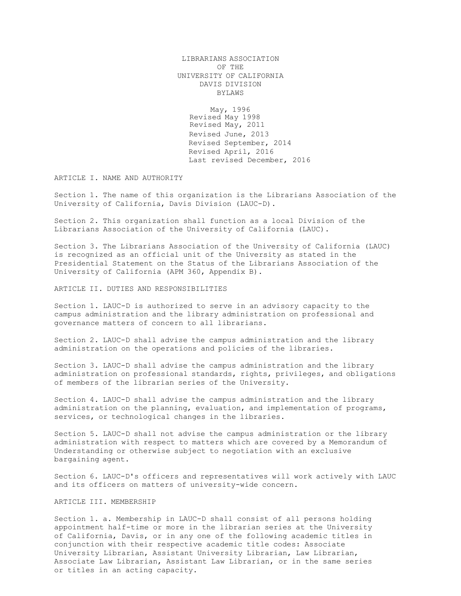LIBRARIANS ASSOCIATION OF THE UNIVERSITY OF CALIFORNIA DAVIS DIVISION BYLAWS

May, 1996 Revised May 1998 Revised May, 2011 Revised June, 2013 Revised September, 2014 Revised April, 2016 Last revised December, 2016

ARTICLE I. NAME AND AUTHORITY

Section 1. The name of this organization is the Librarians Association of the University of California, Davis Division (LAUC-D).

Section 2. This organization shall function as a local Division of the Librarians Association of the University of California (LAUC).

Section 3. The Librarians Association of the University of California (LAUC) is recognized as an official unit of the University as stated in the Presidential Statement on the Status of the Librarians Association of the University of California (APM 360, Appendix B).

ARTICLE II. DUTIES AND RESPONSIBILITIES

Section 1. LAUC-D is authorized to serve in an advisory capacity to the campus administration and the library administration on professional and governance matters of concern to all librarians.

Section 2. LAUC-D shall advise the campus administration and the library administration on the operations and policies of the libraries.

Section 3. LAUC-D shall advise the campus administration and the library administration on professional standards, rights, privileges, and obligations of members of the librarian series of the University.

Section 4. LAUC-D shall advise the campus administration and the library administration on the planning, evaluation, and implementation of programs, services, or technological changes in the libraries.

Section 5. LAUC-D shall not advise the campus administration or the library administration with respect to matters which are covered by a Memorandum of Understanding or otherwise subject to negotiation with an exclusive bargaining agent.

Section 6. LAUC-D's officers and representatives will work actively with LAUC and its officers on matters of university-wide concern.

## ARTICLE III. MEMBERSHIP

Section 1. a. Membership in LAUC-D shall consist of all persons holding appointment half-time or more in the librarian series at the University of California, Davis, or in any one of the following academic titles in conjunction with their respective academic title codes: Associate University Librarian, Assistant University Librarian, Law Librarian, Associate Law Librarian, Assistant Law Librarian, or in the same series or titles in an acting capacity.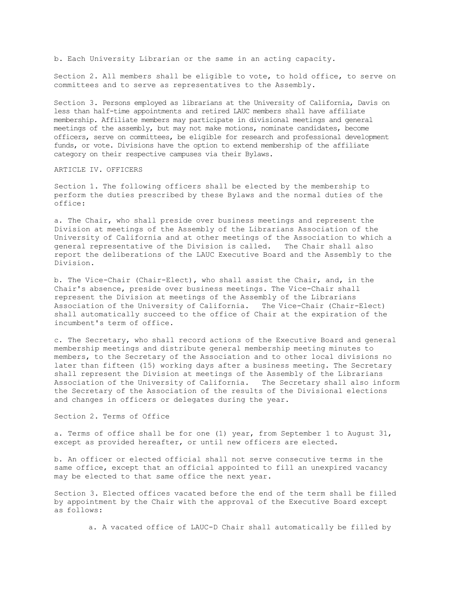b. Each University Librarian or the same in an acting capacity.

Section 2. All members shall be eligible to vote, to hold office, to serve on committees and to serve as representatives to the Assembly.

Section 3. Persons employed as librarians at the University of California, Davis on less than half-time appointments and retired LAUC members shall have affiliate membership. Affiliate members may participate in divisional meetings and general meetings of the assembly, but may not make motions, nominate candidates, become officers, serve on committees, be eligible for research and professional development funds, or vote. Divisions have the option to extend membership of the affiliate category on their respective campuses via their Bylaws.

ARTICLE IV. OFFICERS

Section 1. The following officers shall be elected by the membership to perform the duties prescribed by these Bylaws and the normal duties of the office:

a. The Chair, who shall preside over business meetings and represent the Division at meetings of the Assembly of the Librarians Association of the University of California and at other meetings of the Association to which a general representative of the Division is called. The Chair shall also report the deliberations of the LAUC Executive Board and the Assembly to the Division.

b. The Vice-Chair (Chair-Elect), who shall assist the Chair, and, in the Chair's absence, preside over business meetings. The Vice-Chair shall represent the Division at meetings of the Assembly of the Librarians Association of the University of California. The Vice-Chair (Chair-Elect) shall automatically succeed to the office of Chair at the expiration of the incumbent's term of office.

c. The Secretary, who shall record actions of the Executive Board and general membership meetings and distribute general membership meeting minutes to members, to the Secretary of the Association and to other local divisions no later than fifteen (15) working days after a business meeting. The Secretary shall represent the Division at meetings of the Assembly of the Librarians Association of the University of California. The Secretary shall also inform the Secretary of the Association of the results of the Divisional elections and changes in officers or delegates during the year.

Section 2. Terms of Office

a. Terms of office shall be for one (1) year, from September 1 to August 31, except as provided hereafter, or until new officers are elected.

b. An officer or elected official shall not serve consecutive terms in the same office, except that an official appointed to fill an unexpired vacancy may be elected to that same office the next year.

Section 3. Elected offices vacated before the end of the term shall be filled by appointment by the Chair with the approval of the Executive Board except as follows:

a. A vacated office of LAUC-D Chair shall automatically be filled by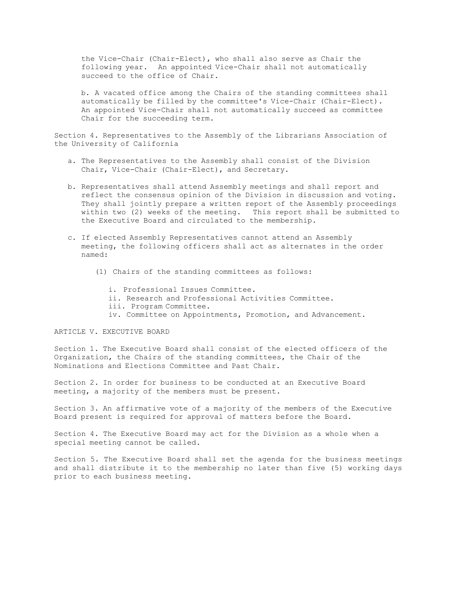the Vice-Chair (Chair-Elect), who shall also serve as Chair the following year. An appointed Vice-Chair shall not automatically succeed to the office of Chair.

b. A vacated office among the Chairs of the standing committees shall automatically be filled by the committee's Vice-Chair (Chair-Elect). An appointed Vice-Chair shall not automatically succeed as committee Chair for the succeeding term.

Section 4. Representatives to the Assembly of the Librarians Association of the University of California

- a. The Representatives to the Assembly shall consist of the Division Chair, Vice-Chair (Chair-Elect), and Secretary.
- b. Representatives shall attend Assembly meetings and shall report and reflect the consensus opinion of the Division in discussion and voting. They shall jointly prepare a written report of the Assembly proceedings within two (2) weeks of the meeting. This report shall be submitted to the Executive Board and circulated to the membership.
- c. If elected Assembly Representatives cannot attend an Assembly meeting, the following officers shall act as alternates in the order named:
	- (1) Chairs of the standing committees as follows:
		- i. Professional Issues Committee.
		- ii. Research and Professional Activities Committee.
		- iii. Program Committee.
		- iv. Committee on Appointments, Promotion, and Advancement.

# ARTICLE V. EXECUTIVE BOARD

Section 1. The Executive Board shall consist of the elected officers of the Organization, the Chairs of the standing committees, the Chair of the Nominations and Elections Committee and Past Chair.

Section 2. In order for business to be conducted at an Executive Board meeting, a majority of the members must be present.

Section 3. An affirmative vote of a majority of the members of the Executive Board present is required for approval of matters before the Board.

Section 4. The Executive Board may act for the Division as a whole when a special meeting cannot be called.

Section 5. The Executive Board shall set the agenda for the business meetings and shall distribute it to the membership no later than five (5) working days prior to each business meeting.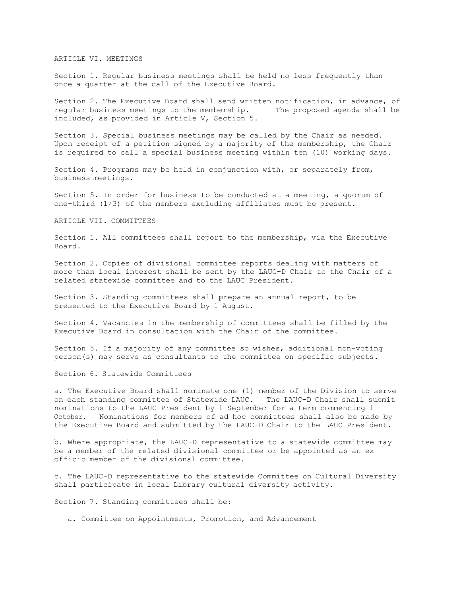## ARTICLE VI. MEETINGS

Section 1. Regular business meetings shall be held no less frequently than once a quarter at the call of the Executive Board.

Section 2. The Executive Board shall send written notification, in advance, of regular business meetings to the membership. The proposed agenda shall be included, as provided in Article V, Section 5.

Section 3. Special business meetings may be called by the Chair as needed. Upon receipt of a petition signed by a majority of the membership, the Chair is required to call a special business meeting within ten (10) working days.

Section 4. Programs may be held in conjunction with, or separately from, business meetings.

Section 5. In order for business to be conducted at a meeting, a quorum of one-third (1/3) of the members excluding affiliates must be present.

#### ARTICLE VII. COMMITTEES

Section 1. All committees shall report to the membership, via the Executive Board.

Section 2. Copies of divisional committee reports dealing with matters of more than local interest shall be sent by the LAUC-D Chair to the Chair of a related statewide committee and to the LAUC President.

Section 3. Standing committees shall prepare an annual report, to be presented to the Executive Board by 1 August.

Section 4. Vacancies in the membership of committees shall be filled by the Executive Board in consultation with the Chair of the committee.

Section 5. If a majority of any committee so wishes, additional non-voting person(s) may serve as consultants to the committee on specific subjects.

Section 6. Statewide Committees

a. The Executive Board shall nominate one (1) member of the Division to serve on each standing committee of Statewide LAUC. The LAUC-D Chair shall submit nominations to the LAUC President by 1 September for a term commencing 1 October. Nominations for members of ad hoc committees shall also be made by the Executive Board and submitted by the LAUC-D Chair to the LAUC President.

b. Where appropriate, the LAUC-D representative to a statewide committee may be a member of the related divisional committee or be appointed as an ex officio member of the divisional committee.

c. The LAUC-D representative to the statewide Committee on Cultural Diversity shall participate in local Library cultural diversity activity.

Section 7. Standing committees shall be:

a. Committee on Appointments, Promotion, and Advancement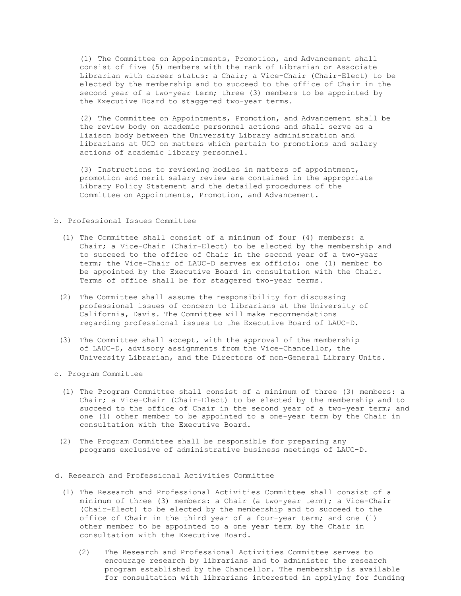(1) The Committee on Appointments, Promotion, and Advancement shall consist of five (5) members with the rank of Librarian or Associate Librarian with career status: a Chair; a Vice-Chair (Chair-Elect) to be elected by the membership and to succeed to the office of Chair in the second year of a two-year term; three (3) members to be appointed by the Executive Board to staggered two-year terms.

(2) The Committee on Appointments, Promotion, and Advancement shall be the review body on academic personnel actions and shall serve as a liaison body between the University Library administration and librarians at UCD on matters which pertain to promotions and salary actions of academic library personnel.

(3) Instructions to reviewing bodies in matters of appointment, promotion and merit salary review are contained in the appropriate Library Policy Statement and the detailed procedures of the Committee on Appointments, Promotion, and Advancement.

#### b. Professional Issues Committee

- (1) The Committee shall consist of a minimum of four (4) members: a Chair; a Vice-Chair (Chair-Elect) to be elected by the membership and to succeed to the office of Chair in the second year of a two-year term; the Vice-Chair of LAUC-D serves ex officio; one (1) member to be appointed by the Executive Board in consultation with the Chair. Terms of office shall be for staggered two-year terms.
- (2) The Committee shall assume the responsibility for discussing professional issues of concern to librarians at the University of California, Davis. The Committee will make recommendations regarding professional issues to the Executive Board of LAUC-D.
- (3) The Committee shall accept, with the approval of the membership of LAUC-D, advisory assignments from the Vice-Chancellor, the University Librarian, and the Directors of non-General Library Units.
- c. Program Committee
	- (1) The Program Committee shall consist of a minimum of three (3) members: a Chair; a Vice-Chair (Chair-Elect) to be elected by the membership and to succeed to the office of Chair in the second year of a two-year term; and one (1) other member to be appointed to a one-year term by the Chair in consultation with the Executive Board.
	- (2) The Program Committee shall be responsible for preparing any programs exclusive of administrative business meetings of LAUC-D.
- d. Research and Professional Activities Committee
	- (1) The Research and Professional Activities Committee shall consist of a minimum of three (3) members: a Chair (a two-year term); a Vice-Chair (Chair-Elect) to be elected by the membership and to succeed to the office of Chair in the third year of a four-year term; and one (1) other member to be appointed to a one year term by the Chair in consultation with the Executive Board.
		- (2) The Research and Professional Activities Committee serves to encourage research by librarians and to administer the research program established by the Chancellor. The membership is available for consultation with librarians interested in applying for funding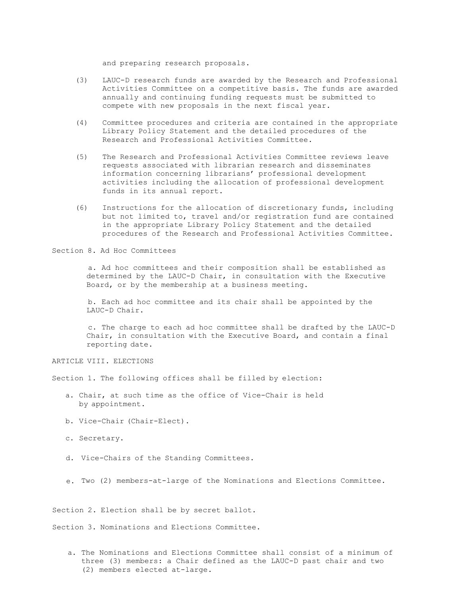and preparing research proposals.

- (3) LAUC-D research funds are awarded by the Research and Professional Activities Committee on a competitive basis. The funds are awarded annually and continuing funding requests must be submitted to compete with new proposals in the next fiscal year.
- (4) Committee procedures and criteria are contained in the appropriate Library Policy Statement and the detailed procedures of the Research and Professional Activities Committee.
- (5) The Research and Professional Activities Committee reviews leave requests associated with librarian research and disseminates information concerning librarians' professional development activities including the allocation of professional development funds in its annual report.
- (6) Instructions for the allocation of discretionary funds, including but not limited to, travel and/or registration fund are contained in the appropriate Library Policy Statement and the detailed procedures of the Research and Professional Activities Committee.

Section 8. Ad Hoc Committees

a. Ad hoc committees and their composition shall be established as determined by the LAUC-D Chair, in consultation with the Executive Board, or by the membership at a business meeting.

b. Each ad hoc committee and its chair shall be appointed by the LAUC-D Chair.

c. The charge to each ad hoc committee shall be drafted by the LAUC-D Chair, in consultation with the Executive Board, and contain a final reporting date.

ARTICLE VIII. ELECTIONS

Section 1. The following offices shall be filled by election:

- a. Chair, at such time as the office of Vice-Chair is held by appointment.
- b. Vice-Chair (Chair-Elect).
- c. Secretary.
- d. Vice-Chairs of the Standing Committees.
- e. Two (2) members-at-large of the Nominations and Elections Committee.

Section 2. Election shall be by secret ballot.

Section 3. Nominations and Elections Committee.

a. The Nominations and Elections Committee shall consist of a minimum of three (3) members: a Chair defined as the LAUC-D past chair and two (2) members elected at-large.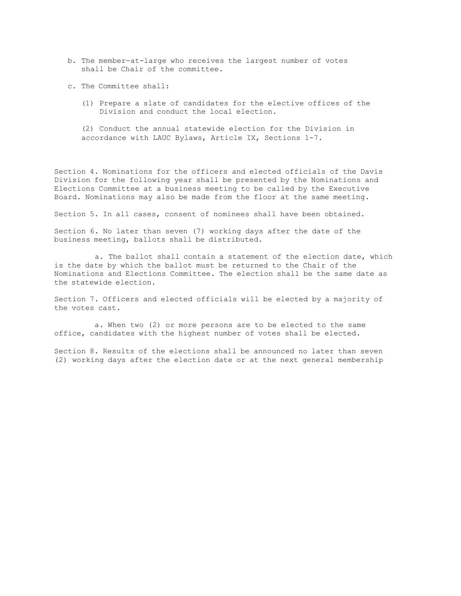- b. The member-at-large who receives the largest number of votes shall be Chair of the committee.
- c. The Committee shall:
	- (1) Prepare a slate of candidates for the elective offices of the Division and conduct the local election.

(2) Conduct the annual statewide election for the Division in accordance with LAUC Bylaws, Article IX, Sections 1-7.

Section 4. Nominations for the officers and elected officials of the Davis Division for the following year shall be presented by the Nominations and Elections Committee at a business meeting to be called by the Executive Board. Nominations may also be made from the floor at the same meeting.

Section 5. In all cases, consent of nominees shall have been obtained.

Section 6. No later than seven (7) working days after the date of the business meeting, ballots shall be distributed.

a. The ballot shall contain a statement of the election date, which is the date by which the ballot must be returned to the Chair of the Nominations and Elections Committee. The election shall be the same date as the statewide election.

Section 7. Officers and elected officials will be elected by a majority of the votes cast.

a. When two (2) or more persons are to be elected to the same office, candidates with the highest number of votes shall be elected.

Section 8. Results of the elections shall be announced no later than seven (2) working days after the election date or at the next general membership